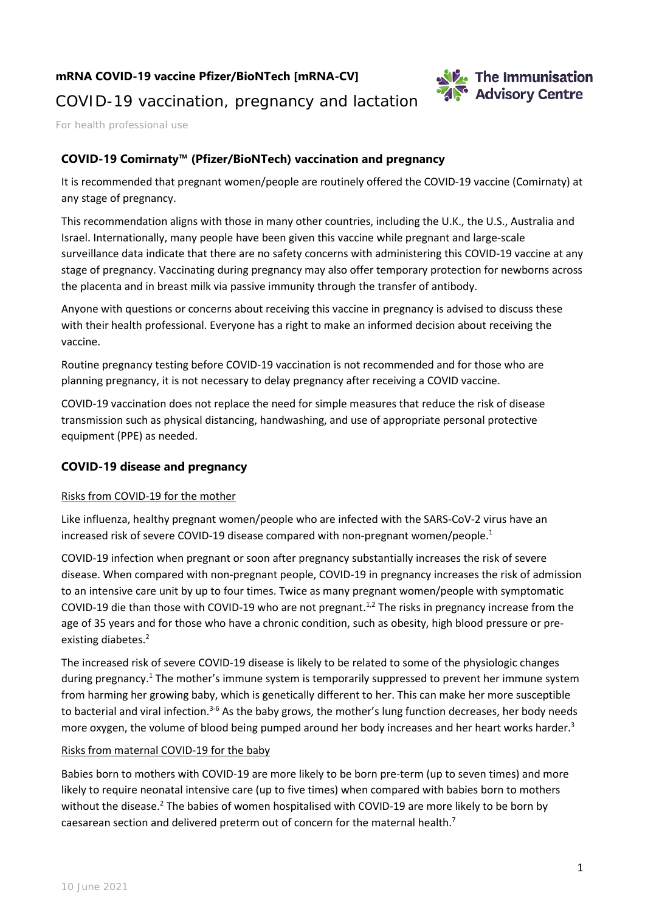## **mRNA COVID-19 vaccine Pfizer/BioNTech [mRNA-CV]**



## COVID-19 vaccination, pregnancy and lactation

For health professional use

## **COVID-19 Comirnaty™ (Pfizer/BioNTech) vaccination and pregnancy**

It is recommended that pregnant women/people are routinely offered the COVID-19 vaccine (Comirnaty) at any stage of pregnancy.

This recommendation aligns with those in many other countries, including the U.K., the U.S., Australia and Israel. Internationally, many people have been given this vaccine while pregnant and large-scale surveillance data indicate that there are no safety concerns with administering this COVID-19 vaccine at any stage of pregnancy. Vaccinating during pregnancy may also offer temporary protection for newborns across the placenta and in breast milk via passive immunity through the transfer of antibody.

Anyone with questions or concerns about receiving this vaccine in pregnancy is advised to discuss these with their health professional. Everyone has a right to make an informed decision about receiving the vaccine.

Routine pregnancy testing before COVID-19 vaccination is not recommended and for those who are planning pregnancy, it is not necessary to delay pregnancy after receiving a COVID vaccine.

COVID-19 vaccination does not replace the need for simple measures that reduce the risk of disease transmission such as physical distancing, handwashing, and use of appropriate personal protective equipment (PPE) as needed.

## **COVID-19 disease and pregnancy**

#### Risks from COVID-19 for the mother

Like influenza, healthy pregnant women/people who are infected with the SARS-CoV-2 virus have an increased risk of severe COVID-19 disease compared with non-pregnant women/people. 1

COVID-19 infection when pregnant or soon after pregnancy substantially increases the risk of severe disease. When compared with non-pregnant people, COVID-19 in pregnancy increases the risk of admission to an intensive care unit by up to four times. Twice as many pregnant women/people with symptomatic COVID-19 die than those with COVID-19 who are not pregnant.<sup>1,2</sup> The risks in pregnancy increase from the age of 35 years and for those who have a chronic condition, such as obesity, high blood pressure or preexisting diabetes. 2

The increased risk of severe COVID-19 disease is likely to be related to some of the physiologic changes during pregnancy.1 The mother's immune system is temporarily suppressed to prevent her immune system from harming her growing baby, which is genetically different to her. This can make her more susceptible to bacterial and viral infection.<sup>3-6</sup> As the baby grows, the mother's lung function decreases, her body needs more oxygen, the volume of blood being pumped around her body increases and her heart works harder.<sup>3</sup>

#### Risks from maternal COVID-19 for the baby

Babies born to mothers with COVID-19 are more likely to be born pre-term (up to seven times) and more likely to require neonatal intensive care (up to five times) when compared with babies born to mothers without the disease.<sup>2</sup> The babies of women hospitalised with COVID-19 are more likely to be born by caesarean section and delivered preterm out of concern for the maternal health.<sup>7</sup>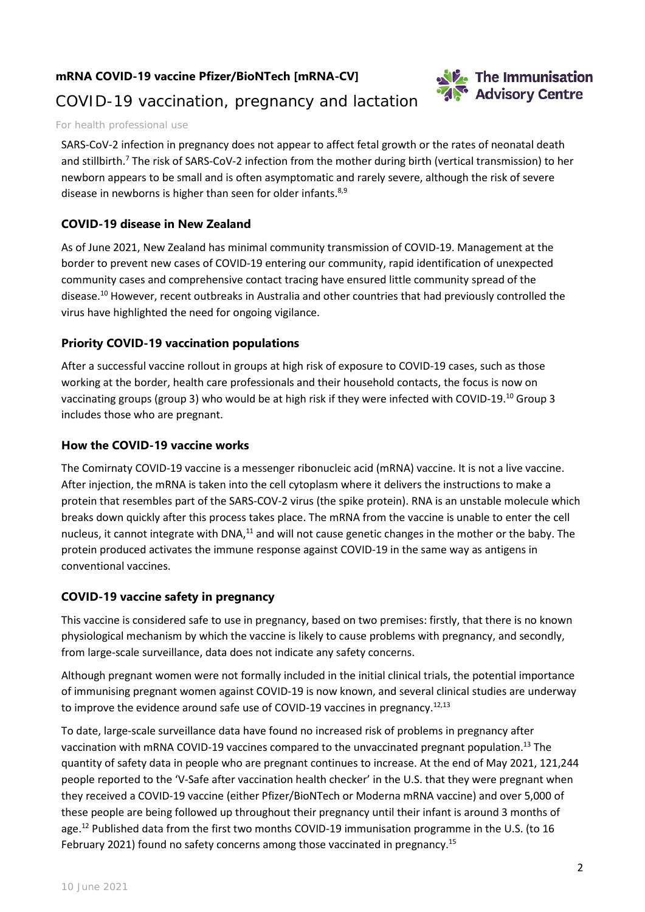## **mRNA COVID-19 vaccine Pfizer/BioNTech [mRNA-CV]**



# COVID-19 vaccination, pregnancy and lactation

#### For health professional use

SARS-CoV-2 infection in pregnancy does not appear to affect fetal growth or the rates of neonatal death and stillbirth.7 The risk of SARS-CoV-2 infection from the mother during birth (vertical transmission) to her newborn appears to be small and is often asymptomatic and rarely severe, although the risk of severe disease in newborns is higher than seen for older infants.<sup>8,9</sup>

## **COVID-19 disease in New Zealand**

As of June 2021, New Zealand has minimal community transmission of COVID-19. Management at the border to prevent new cases of COVID-19 entering our community, rapid identification of unexpected community cases and comprehensive contact tracing have ensured little community spread of the disease.10 However, recent outbreaks in Australia and other countries that had previously controlled the virus have highlighted the need for ongoing vigilance.

## **Priority COVID-19 vaccination populations**

After a successful vaccine rollout in groups at high risk of exposure to COVID-19 cases, such as those working at the border, health care professionals and their household contacts, the focus is now on vaccinating groups (group 3) who would be at high risk if they were infected with COVID-19.<sup>10</sup> Group 3 includes those who are pregnant.

## **How the COVID-19 vaccine works**

The Comirnaty COVID-19 vaccine is a messenger ribonucleic acid (mRNA) vaccine. It is not a live vaccine. After injection, the mRNA is taken into the cell cytoplasm where it delivers the instructions to make a protein that resembles part of the SARS-COV-2 virus (the spike protein). RNA is an unstable molecule which breaks down quickly after this process takes place. The mRNA from the vaccine is unable to enter the cell nucleus, it cannot integrate with DNA,<sup>11</sup> and will not cause genetic changes in the mother or the baby. The protein produced activates the immune response against COVID-19 in the same way as antigens in conventional vaccines.

## **COVID-19 vaccine safety in pregnancy**

This vaccine is considered safe to use in pregnancy, based on two premises: firstly, that there is no known physiological mechanism by which the vaccine is likely to cause problems with pregnancy, and secondly, from large-scale surveillance, data does not indicate any safety concerns.

Although pregnant women were not formally included in the initial clinical trials, the potential importance of immunising pregnant women against COVID-19 is now known, and several clinical studies are underway to improve the evidence around safe use of COVID-19 vaccines in pregnancy.<sup>12,13</sup>

To date, large-scale surveillance data have found no increased risk of problems in pregnancy after vaccination with mRNA COVID-19 vaccines compared to the unvaccinated pregnant population.13 The quantity of safety data in people who are pregnant continues to increase. At the end of May 2021, 121,244 people reported to the 'V-Safe after vaccination health checker' in the U.S. that they were pregnant when they received a COVID-19 vaccine (either Pfizer/BioNTech or Moderna mRNA vaccine) and over 5,000 of these people are being followed up throughout their pregnancy until their infant is around 3 months of age.<sup>12</sup> Published data from the first two months COVID-19 immunisation programme in the U.S. (to 16 February 2021) found no safety concerns among those vaccinated in pregnancy.<sup>15</sup>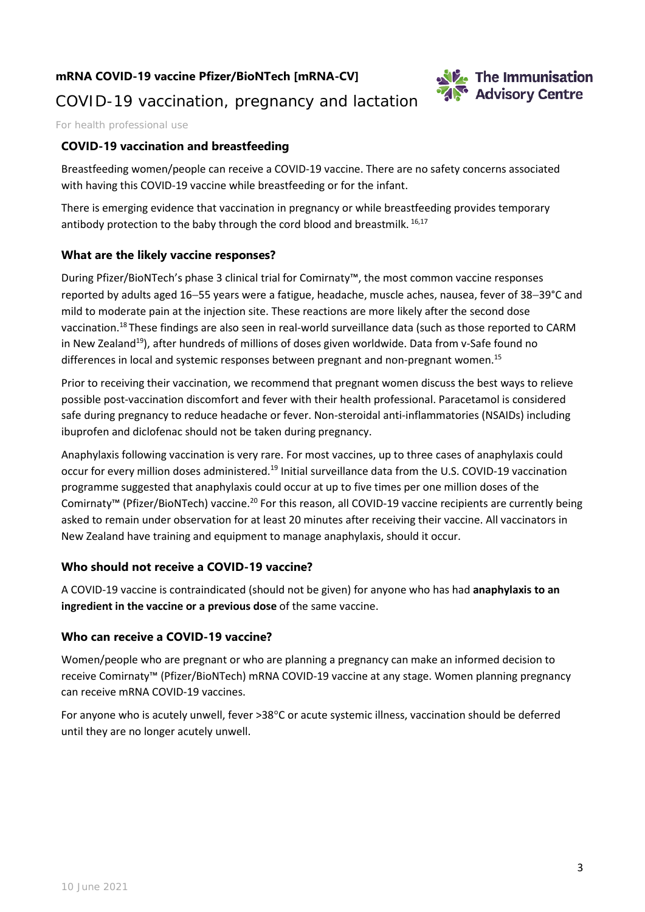## **mRNA COVID-19 vaccine Pfizer/BioNTech [mRNA-CV]**



## COVID-19 vaccination, pregnancy and lactation

For health professional use

## **COVID-19 vaccination and breastfeeding**

Breastfeeding women/people can receive a COVID-19 vaccine. There are no safety concerns associated with having this COVID-19 vaccine while breastfeeding or for the infant.

There is emerging evidence that vaccination in pregnancy or while breastfeeding provides temporary antibody protection to the baby through the cord blood and breastmilk. 16,17

### **What are the likely vaccine responses?**

During Pfizer/BioNTech's phase 3 clinical trial for Comirnaty™, the most common vaccine responses reported by adults aged 16−55 years were a fatigue, headache, muscle aches, nausea, fever of 38−39°C and mild to moderate pain at the injection site. These reactions are more likely after the second dose vaccination.18 These findings are also seen in real-world surveillance data (such as those reported to CARM in New Zealand<sup>19</sup>), after hundreds of millions of doses given worldwide. Data from v-Safe found no differences in local and systemic responses between pregnant and non-pregnant women.<sup>15</sup>

Prior to receiving their vaccination, we recommend that pregnant women discuss the best ways to relieve possible post-vaccination discomfort and fever with their health professional. Paracetamol is considered safe during pregnancy to reduce headache or fever. Non-steroidal anti-inflammatories (NSAIDs) including ibuprofen and diclofenac should not be taken during pregnancy.

Anaphylaxis following vaccination is very rare. For most vaccines, up to three cases of anaphylaxis could occur for every million doses administered.<sup>19</sup> Initial surveillance data from the U.S. COVID-19 vaccination programme suggested that anaphylaxis could occur at up to five times per one million doses of the Comirnaty<sup>™</sup> (Pfizer/BioNTech) vaccine.<sup>20</sup> For this reason, all COVID-19 vaccine recipients are currently being asked to remain under observation for at least 20 minutes after receiving their vaccine. All vaccinators in New Zealand have training and equipment to manage anaphylaxis, should it occur.

#### **Who should not receive a COVID-19 vaccine?**

A COVID-19 vaccine is contraindicated (should not be given) for anyone who has had **anaphylaxis to an ingredient in the vaccine or a previous dose** of the same vaccine.

## **Who can receive a COVID-19 vaccine?**

Women/people who are pregnant or who are planning a pregnancy can make an informed decision to receive Comirnaty™ (Pfizer/BioNTech) mRNA COVID-19 vaccine at any stage. Women planning pregnancy can receive mRNA COVID-19 vaccines.

For anyone who is acutely unwell, fever >38°C or acute systemic illness, vaccination should be deferred until they are no longer acutely unwell.